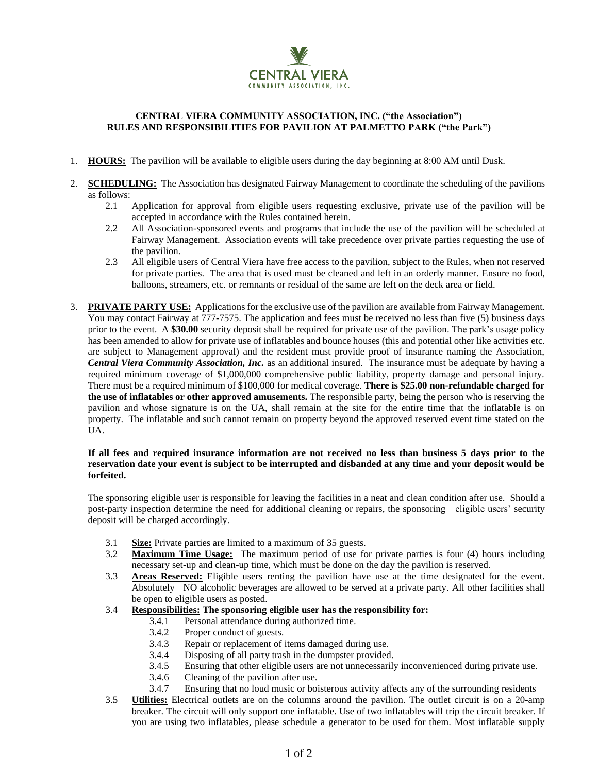

## **CENTRAL VIERA COMMUNITY ASSOCIATION, INC. ("the Association") RULES AND RESPONSIBILITIES FOR PAVILION AT PALMETTO PARK ("the Park")**

- 1. **HOURS:** The pavilion will be available to eligible users during the day beginning at 8:00 AM until Dusk.
- 2. **SCHEDULING:** The Association has designated Fairway Management to coordinate the scheduling of the pavilions as follows:
	- 2.1 Application for approval from eligible users requesting exclusive, private use of the pavilion will be accepted in accordance with the Rules contained herein.
	- 2.2 All Association-sponsored events and programs that include the use of the pavilion will be scheduled at Fairway Management. Association events will take precedence over private parties requesting the use of the pavilion.
	- 2.3 All eligible users of Central Viera have free access to the pavilion, subject to the Rules, when not reserved for private parties. The area that is used must be cleaned and left in an orderly manner. Ensure no food, balloons, streamers, etc. or remnants or residual of the same are left on the deck area or field.
- 3. **PRIVATE PARTY USE:** Applications for the exclusive use of the pavilion are available from Fairway Management. You may contact Fairway at 777-7575. The application and fees must be received no less than five (5) business days prior to the event. A **\$30.00** security deposit shall be required for private use of the pavilion. The park's usage policy has been amended to allow for private use of inflatables and bounce houses (this and potential other like activities etc. are subject to Management approval) and the resident must provide proof of insurance naming the Association, *Central Viera Community Association, Inc.* as an additional insured. The insurance must be adequate by having a required minimum coverage of \$1,000,000 comprehensive public liability, property damage and personal injury. There must be a required minimum of \$100,000 for medical coverage. **There is \$25.00 non-refundable charged for the use of inflatables or other approved amusements.** The responsible party, being the person who is reserving the pavilion and whose signature is on the UA, shall remain at the site for the entire time that the inflatable is on property. The inflatable and such cannot remain on property beyond the approved reserved event time stated on the UA.

## **If all fees and required insurance information are not received no less than business 5 days prior to the reservation date your event is subject to be interrupted and disbanded at any time and your deposit would be forfeited.**

The sponsoring eligible user is responsible for leaving the facilities in a neat and clean condition after use. Should a post-party inspection determine the need for additional cleaning or repairs, the sponsoring eligible users' security deposit will be charged accordingly.

- 3.1 **Size:** Private parties are limited to a maximum of 35 guests.
- 3.2 **Maximum Time Usage:** The maximum period of use for private parties is four (4) hours including necessary set-up and clean-up time, which must be done on the day the pavilion is reserved.
- 3.3 **Areas Reserved:** Eligible users renting the pavilion have use at the time designated for the event. Absolutely NO alcoholic beverages are allowed to be served at a private party. All other facilities shall be open to eligible users as posted.
- 3.4 **Responsibilities: The sponsoring eligible user has the responsibility for:**
	- 3.4.1 Personal attendance during authorized time.
	- 3.4.2 Proper conduct of guests.
	- 3.4.3 Repair or replacement of items damaged during use.
	- 3.4.4 Disposing of all party trash in the dumpster provided.
	- 3.4.5 Ensuring that other eligible users are not unnecessarily inconvenienced during private use.
	- 3.4.6 Cleaning of the pavilion after use.
	- 3.4.7 Ensuring that no loud music or boisterous activity affects any of the surrounding residents
- 3.5 **Utilities:** Electrical outlets are on the columns around the pavilion. The outlet circuit is on a 20-amp breaker. The circuit will only support one inflatable. Use of two inflatables will trip the circuit breaker. If you are using two inflatables, please schedule a generator to be used for them. Most inflatable supply